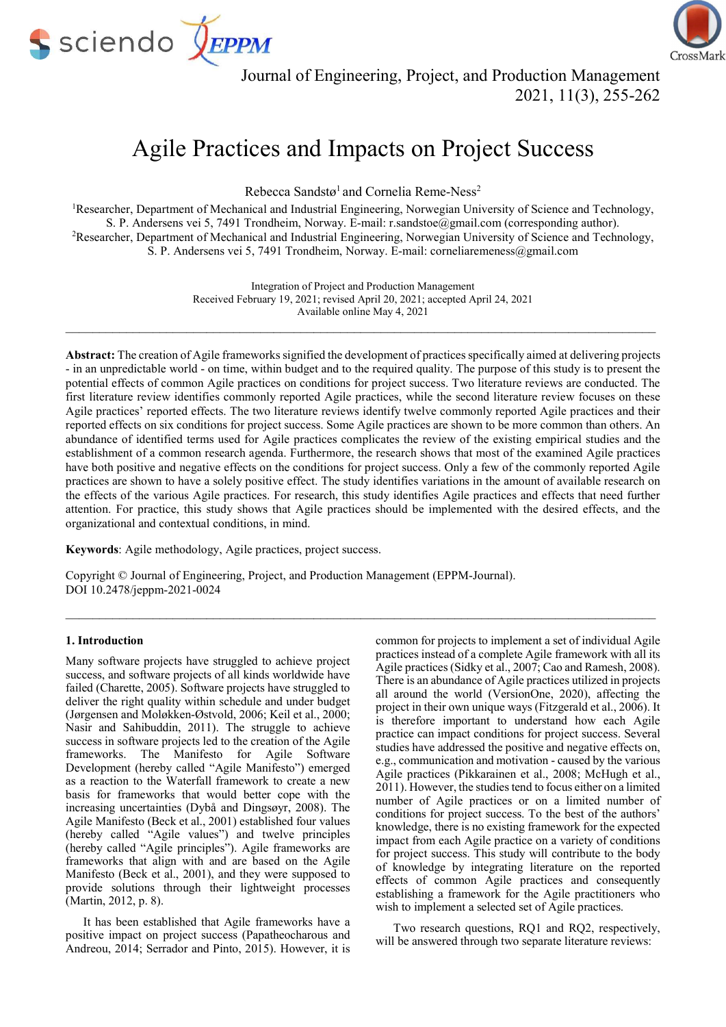



Journal of Engineering, Project, and Production Management 2021, 11(3), 255-262

# Agile Practices and Impacts on Project Success

Rebecca Sandstø<sup>1</sup> and Cornelia Reme-Ness<sup>2</sup>

<sup>1</sup>Researcher, Department of Mechanical and Industrial Engineering, Norwegian University of Science and Technology, S. P. Andersens vei 5, 7491 Trondheim, Norway. E-mail: r.sandstoe@gmail.com (corresponding author). <sup>2</sup>Researcher, Department of Mechanical and Industrial Engineering, Norwegian University of Science and Technology, S. P. Andersens vei 5, 7491 Trondheim, Norway. E-mail: corneliaremeness@gmail.com

> Integration of Project and Production Management Received February 19, 2021; revised April 20, 2021; accepted April 24, 2021 Available online May 4, 2021

 $\_$  , and the contribution of the contribution of the contribution of the contribution of the contribution of  $\mathcal{L}_\text{max}$ 

Abstract: The creation of Agile frameworks signified the development of practices specifically aimed at delivering projects - in an unpredictable world - on time, within budget and to the required quality. The purpose of this study is to present the potential effects of common Agile practices on conditions for project success. Two literature reviews are conducted. The first literature review identifies commonly reported Agile practices, while the second literature review focuses on these Agile practices' reported effects. The two literature reviews identify twelve commonly reported Agile practices and their reported effects on six conditions for project success. Some Agile practices are shown to be more common than others. An abundance of identified terms used for Agile practices complicates the review of the existing empirical studies and the establishment of a common research agenda. Furthermore, the research shows that most of the examined Agile practices have both positive and negative effects on the conditions for project success. Only a few of the commonly reported Agile practices are shown to have a solely positive effect. The study identifies variations in the amount of available research on the effects of the various Agile practices. For research, this study identifies Agile practices and effects that need further attention. For practice, this study shows that Agile practices should be implemented with the desired effects, and the organizational and contextual conditions, in mind.

 $\mathcal{L}_\mathcal{L} = \{ \mathcal{L}_\mathcal{L} = \{ \mathcal{L}_\mathcal{L} = \{ \mathcal{L}_\mathcal{L} = \{ \mathcal{L}_\mathcal{L} = \{ \mathcal{L}_\mathcal{L} = \{ \mathcal{L}_\mathcal{L} = \{ \mathcal{L}_\mathcal{L} = \{ \mathcal{L}_\mathcal{L} = \{ \mathcal{L}_\mathcal{L} = \{ \mathcal{L}_\mathcal{L} = \{ \mathcal{L}_\mathcal{L} = \{ \mathcal{L}_\mathcal{L} = \{ \mathcal{L}_\mathcal{L} = \{ \mathcal{L}_\mathcal{$ 

Keywords: Agile methodology, Agile practices, project success.

Copyright © Journal of Engineering, Project, and Production Management (EPPM-Journal). DOI 10.2478/jeppm-2021-0024

## 1. Introduction

Many software projects have struggled to achieve project success, and software projects of all kinds worldwide have failed (Charette, 2005). Software projects have struggled to deliver the right quality within schedule and under budget (Jørgensen and Moløkken-Østvold, 2006; Keil et al., 2000; Nasir and Sahibuddin, 2011). The struggle to achieve success in software projects led to the creation of the Agile frameworks. The Manifesto for Agile Software Development (hereby called "Agile Manifesto") emerged as a reaction to the Waterfall framework to create a new basis for frameworks that would better cope with the increasing uncertainties (Dybå and Dingsøyr, 2008). The Agile Manifesto (Beck et al., 2001) established four values (hereby called "Agile values") and twelve principles (hereby called "Agile principles"). Agile frameworks are frameworks that align with and are based on the Agile Manifesto (Beck et al., 2001), and they were supposed to provide solutions through their lightweight processes (Martin, 2012, p. 8).

It has been established that Agile frameworks have a positive impact on project success (Papatheocharous and Andreou, 2014; Serrador and Pinto, 2015). However, it is

common for projects to implement a set of individual Agile practices instead of a complete Agile framework with all its Agile practices (Sidky et al., 2007; Cao and Ramesh, 2008). There is an abundance of Agile practices utilized in projects all around the world (VersionOne, 2020), affecting the project in their own unique ways (Fitzgerald et al., 2006). It is therefore important to understand how each Agile practice can impact conditions for project success. Several studies have addressed the positive and negative effects on, e.g., communication and motivation - caused by the various Agile practices (Pikkarainen et al., 2008; McHugh et al., 2011). However, the studies tend to focus either on a limited number of Agile practices or on a limited number of conditions for project success. To the best of the authors' knowledge, there is no existing framework for the expected impact from each Agile practice on a variety of conditions for project success. This study will contribute to the body of knowledge by integrating literature on the reported effects of common Agile practices and consequently establishing a framework for the Agile practitioners who wish to implement a selected set of Agile practices.

Two research questions, RQ1 and RQ2, respectively, will be answered through two separate literature reviews: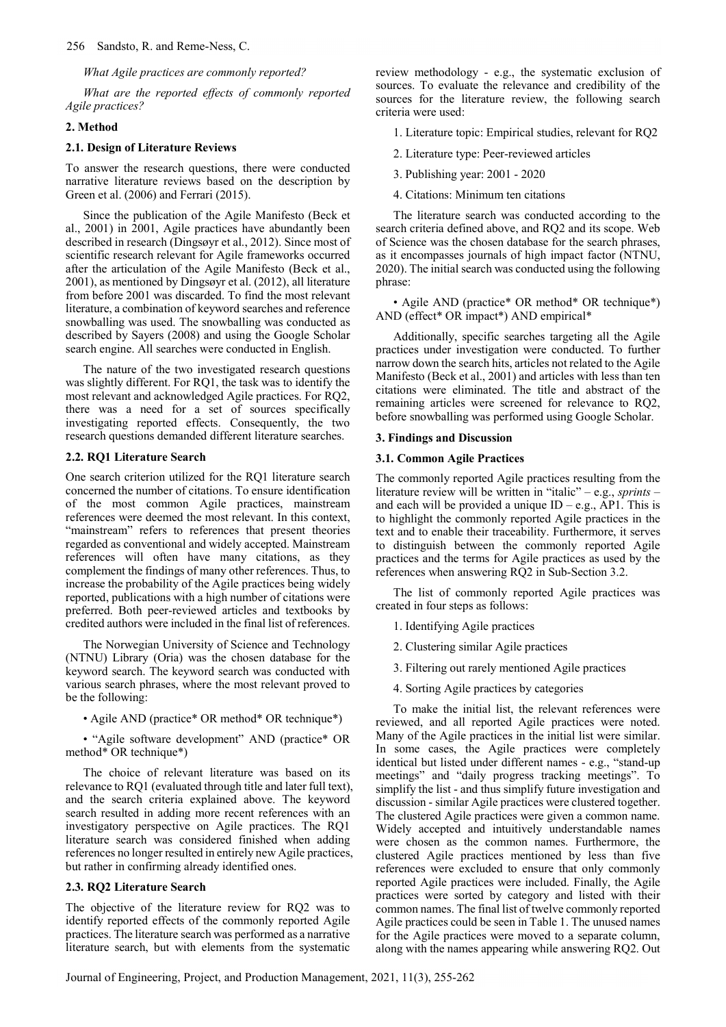### What Agile practices are commonly reported?

What are the reported effects of commonly reported Agile practices?

## 2. Method

## 2.1. Design of Literature Reviews

To answer the research questions, there were conducted narrative literature reviews based on the description by Green et al. (2006) and Ferrari (2015).

Since the publication of the Agile Manifesto (Beck et al., 2001) in 2001, Agile practices have abundantly been described in research (Dingsøyr et al., 2012). Since most of scientific research relevant for Agile frameworks occurred after the articulation of the Agile Manifesto (Beck et al., 2001), as mentioned by Dingsøyr et al. (2012), all literature from before 2001 was discarded. To find the most relevant literature, a combination of keyword searches and reference snowballing was used. The snowballing was conducted as described by Sayers (2008) and using the Google Scholar search engine. All searches were conducted in English.

The nature of the two investigated research questions was slightly different. For RQ1, the task was to identify the most relevant and acknowledged Agile practices. For RQ2, there was a need for a set of sources specifically investigating reported effects. Consequently, the two research questions demanded different literature searches.

#### 2.2. RQ1 Literature Search

One search criterion utilized for the RQ1 literature search concerned the number of citations. To ensure identification of the most common Agile practices, mainstream references were deemed the most relevant. In this context, "mainstream" refers to references that present theories regarded as conventional and widely accepted. Mainstream references will often have many citations, as they complement the findings of many other references. Thus, to increase the probability of the Agile practices being widely reported, publications with a high number of citations were preferred. Both peer-reviewed articles and textbooks by credited authors were included in the final list of references.

The Norwegian University of Science and Technology (NTNU) Library (Oria) was the chosen database for the keyword search. The keyword search was conducted with various search phrases, where the most relevant proved to be the following:

• Agile AND (practice\* OR method\* OR technique\*)

• "Agile software development" AND (practice\* OR method\* OR technique\*)

The choice of relevant literature was based on its relevance to RQ1 (evaluated through title and later full text), and the search criteria explained above. The keyword search resulted in adding more recent references with an investigatory perspective on Agile practices. The RQ1 literature search was considered finished when adding references no longer resulted in entirely new Agile practices, but rather in confirming already identified ones.

#### 2.3. RQ2 Literature Search

The objective of the literature review for RQ2 was to identify reported effects of the commonly reported Agile practices. The literature search was performed as a narrative literature search, but with elements from the systematic review methodology - e.g., the systematic exclusion of sources. To evaluate the relevance and credibility of the sources for the literature review, the following search criteria were used:

1. Literature topic: Empirical studies, relevant for RQ2

- 2. Literature type: Peer-reviewed articles
- 3. Publishing year: 2001 2020
- 4. Citations: Minimum ten citations

The literature search was conducted according to the search criteria defined above, and RQ2 and its scope. Web of Science was the chosen database for the search phrases, as it encompasses journals of high impact factor (NTNU, 2020). The initial search was conducted using the following phrase:

• Agile AND (practice\* OR method\* OR technique\*) AND (effect\* OR impact\*) AND empirical\*

Additionally, specific searches targeting all the Agile practices under investigation were conducted. To further narrow down the search hits, articles not related to the Agile Manifesto (Beck et al., 2001) and articles with less than ten citations were eliminated. The title and abstract of the remaining articles were screened for relevance to RQ2, before snowballing was performed using Google Scholar.

#### 3. Findings and Discussion

### 3.1. Common Agile Practices

The commonly reported Agile practices resulting from the literature review will be written in "italic" – e.g., sprints – and each will be provided a unique  $ID - e.g., API$ . This is to highlight the commonly reported Agile practices in the text and to enable their traceability. Furthermore, it serves to distinguish between the commonly reported Agile practices and the terms for Agile practices as used by the references when answering RQ2 in Sub-Section 3.2.

The list of commonly reported Agile practices was created in four steps as follows:

- 1. Identifying Agile practices
- 2. Clustering similar Agile practices
- 3. Filtering out rarely mentioned Agile practices
- 4. Sorting Agile practices by categories

To make the initial list, the relevant references were reviewed, and all reported Agile practices were noted. Many of the Agile practices in the initial list were similar. In some cases, the Agile practices were completely identical but listed under different names - e.g., "stand-up meetings" and "daily progress tracking meetings". To simplify the list - and thus simplify future investigation and discussion - similar Agile practices were clustered together. The clustered Agile practices were given a common name. Widely accepted and intuitively understandable names were chosen as the common names. Furthermore, the clustered Agile practices mentioned by less than five references were excluded to ensure that only commonly reported Agile practices were included. Finally, the Agile practices were sorted by category and listed with their common names. The final list of twelve commonly reported Agile practices could be seen in Table 1. The unused names for the Agile practices were moved to a separate column, along with the names appearing while answering RQ2. Out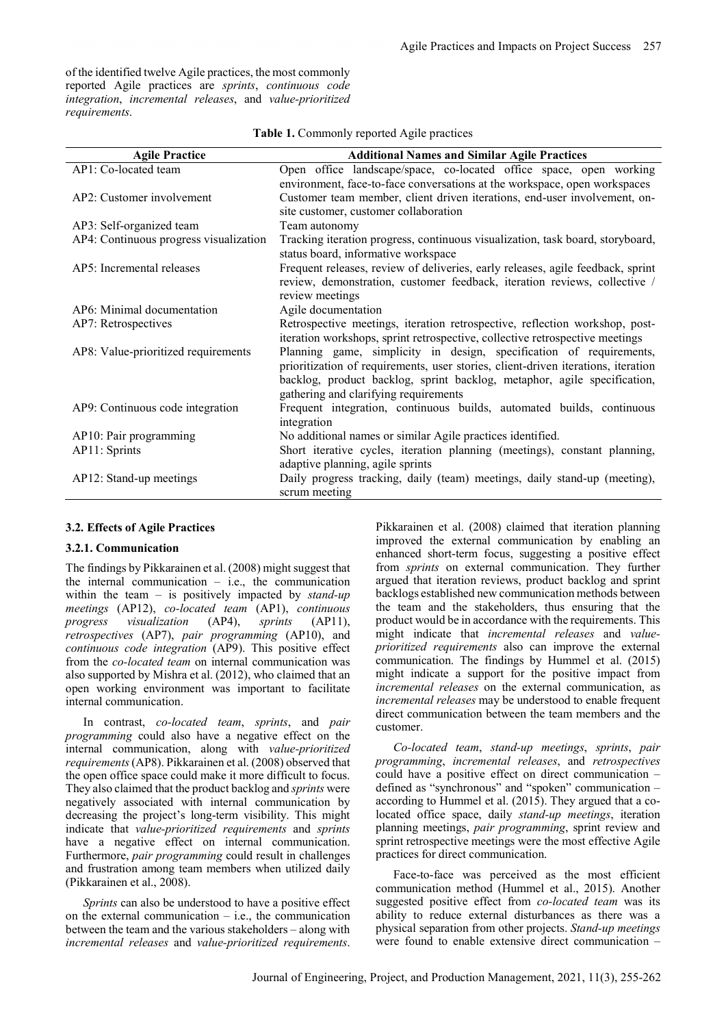of the identified twelve Agile practices, the most commonly reported Agile practices are sprints, continuous code integration, incremental releases, and value-prioritized requirements.

| <b>Agile Practice</b>                  | <b>Additional Names and Similar Agile Practices</b>                                                                                                                                                                                                                           |
|----------------------------------------|-------------------------------------------------------------------------------------------------------------------------------------------------------------------------------------------------------------------------------------------------------------------------------|
| AP1: Co-located team                   | Open office landscape/space, co-located office space, open working                                                                                                                                                                                                            |
|                                        | environment, face-to-face conversations at the workspace, open workspaces                                                                                                                                                                                                     |
| AP2: Customer involvement              | Customer team member, client driven iterations, end-user involvement, on-                                                                                                                                                                                                     |
|                                        | site customer, customer collaboration                                                                                                                                                                                                                                         |
| AP3: Self-organized team               | Team autonomy                                                                                                                                                                                                                                                                 |
| AP4: Continuous progress visualization | Tracking iteration progress, continuous visualization, task board, storyboard,<br>status board, informative workspace                                                                                                                                                         |
| AP5: Incremental releases              | Frequent releases, review of deliveries, early releases, agile feedback, sprint<br>review, demonstration, customer feedback, iteration reviews, collective /<br>review meetings                                                                                               |
| AP6: Minimal documentation             | Agile documentation                                                                                                                                                                                                                                                           |
| AP7: Retrospectives                    | Retrospective meetings, iteration retrospective, reflection workshop, post-<br>iteration workshops, sprint retrospective, collective retrospective meetings                                                                                                                   |
| AP8: Value-prioritized requirements    | Planning game, simplicity in design, specification of requirements,<br>prioritization of requirements, user stories, client-driven iterations, iteration<br>backlog, product backlog, sprint backlog, metaphor, agile specification,<br>gathering and clarifying requirements |
| AP9: Continuous code integration       | Frequent integration, continuous builds, automated builds, continuous<br>integration                                                                                                                                                                                          |
| AP10: Pair programming                 | No additional names or similar Agile practices identified.                                                                                                                                                                                                                    |
| AP11: Sprints                          | Short iterative cycles, iteration planning (meetings), constant planning,                                                                                                                                                                                                     |
|                                        | adaptive planning, agile sprints                                                                                                                                                                                                                                              |
| AP12: Stand-up meetings                | Daily progress tracking, daily (team) meetings, daily stand-up (meeting),<br>scrum meeting                                                                                                                                                                                    |

| Table 1. Commonly reported Agile practices |
|--------------------------------------------|
|--------------------------------------------|

## 3.2. Effects of Agile Practices

### 3.2.1. Communication

The findings by Pikkarainen et al. (2008) might suggest that the internal communication  $-$  i.e., the communication within the team – is positively impacted by  $stand-up$ meetings (AP12), co-located team (AP1), continuous progress visualization (AP4), sprints (AP11), retrospectives (AP7), pair programming (AP10), and continuous code integration (AP9). This positive effect from the co-located team on internal communication was also supported by Mishra et al. (2012), who claimed that an open working environment was important to facilitate internal communication.

In contrast, *co-located team*, *sprints*, and *pair* programming could also have a negative effect on the internal communication, along with value-prioritized requirements (AP8). Pikkarainen et al. (2008) observed that the open office space could make it more difficult to focus. They also claimed that the product backlog and sprints were negatively associated with internal communication by decreasing the project's long-term visibility. This might indicate that value-prioritized requirements and sprints have a negative effect on internal communication. Furthermore, pair programming could result in challenges and frustration among team members when utilized daily (Pikkarainen et al., 2008).

Sprints can also be understood to have a positive effect on the external communication  $-$  i.e., the communication between the team and the various stakeholders – along with incremental releases and value-prioritized requirements. Pikkarainen et al. (2008) claimed that iteration planning improved the external communication by enabling an enhanced short-term focus, suggesting a positive effect from sprints on external communication. They further argued that iteration reviews, product backlog and sprint backlogs established new communication methods between the team and the stakeholders, thus ensuring that the product would be in accordance with the requirements. This might indicate that incremental releases and valueprioritized requirements also can improve the external communication. The findings by Hummel et al. (2015) might indicate a support for the positive impact from incremental releases on the external communication, as incremental releases may be understood to enable frequent direct communication between the team members and the customer.

Co-located team, stand-up meetings, sprints, pair programming, incremental releases, and retrospectives could have a positive effect on direct communication – defined as "synchronous" and "spoken" communication – according to Hummel et al. (2015). They argued that a colocated office space, daily stand-up meetings, iteration planning meetings, pair programming, sprint review and sprint retrospective meetings were the most effective Agile practices for direct communication.

Face-to-face was perceived as the most efficient communication method (Hummel et al., 2015). Another suggested positive effect from *co-located team* was its ability to reduce external disturbances as there was a physical separation from other projects. Stand-up meetings were found to enable extensive direct communication –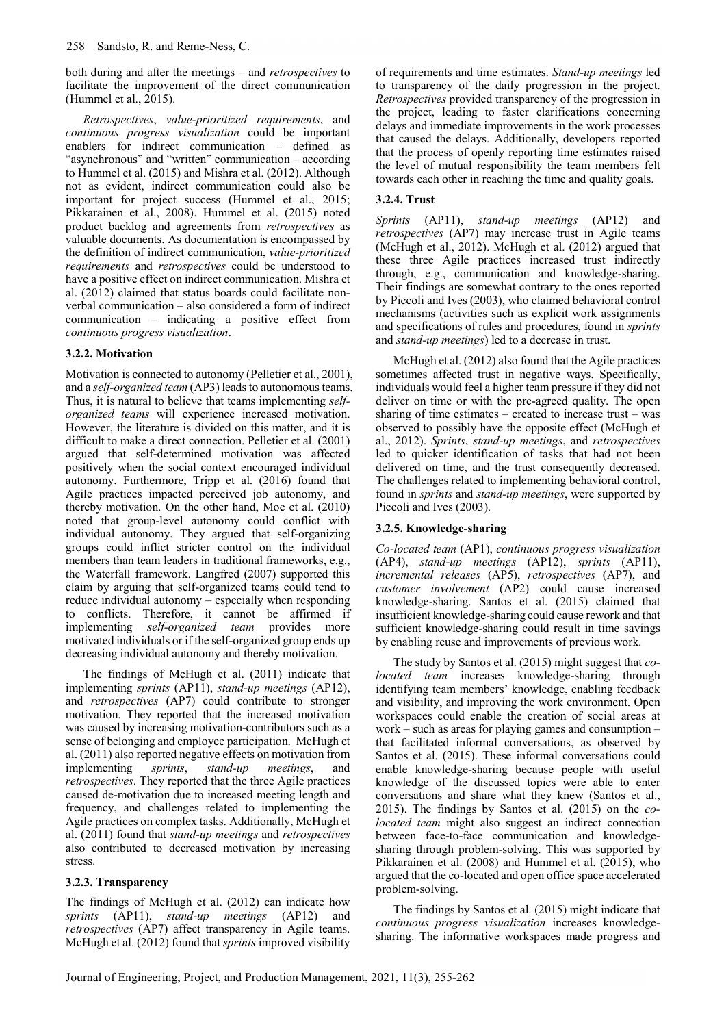both during and after the meetings – and retrospectives to facilitate the improvement of the direct communication (Hummel et al., 2015).

Retrospectives, value-prioritized requirements, and continuous progress visualization could be important enablers for indirect communication – defined as "asynchronous" and "written" communication – according to Hummel et al. (2015) and Mishra et al. (2012). Although not as evident, indirect communication could also be important for project success (Hummel et al., 2015; Pikkarainen et al., 2008). Hummel et al. (2015) noted product backlog and agreements from retrospectives as valuable documents. As documentation is encompassed by the definition of indirect communication, value-prioritized requirements and retrospectives could be understood to have a positive effect on indirect communication. Mishra et al. (2012) claimed that status boards could facilitate nonverbal communication – also considered a form of indirect communication – indicating a positive effect from continuous progress visualization.

## 3.2.2. Motivation

Motivation is connected to autonomy (Pelletier et al., 2001), and a self-organized team (AP3) leads to autonomous teams. Thus, it is natural to believe that teams implementing selforganized teams will experience increased motivation. However, the literature is divided on this matter, and it is difficult to make a direct connection. Pelletier et al. (2001) argued that self-determined motivation was affected positively when the social context encouraged individual autonomy. Furthermore, Tripp et al. (2016) found that Agile practices impacted perceived job autonomy, and thereby motivation. On the other hand, Moe et al. (2010) noted that group-level autonomy could conflict with individual autonomy. They argued that self-organizing groups could inflict stricter control on the individual members than team leaders in traditional frameworks, e.g., the Waterfall framework. Langfred (2007) supported this claim by arguing that self-organized teams could tend to reduce individual autonomy – especially when responding to conflicts. Therefore, it cannot be affirmed if implementing self-organized team provides more motivated individuals or if the self-organized group ends up decreasing individual autonomy and thereby motivation.

The findings of McHugh et al. (2011) indicate that implementing sprints (AP11), stand-up meetings (AP12), and retrospectives (AP7) could contribute to stronger motivation. They reported that the increased motivation was caused by increasing motivation-contributors such as a sense of belonging and employee participation. McHugh et al. (2011) also reported negative effects on motivation from implementing sprints, stand-up meetings, and retrospectives. They reported that the three Agile practices caused de-motivation due to increased meeting length and frequency, and challenges related to implementing the Agile practices on complex tasks. Additionally, McHugh et al. (2011) found that stand-up meetings and retrospectives also contributed to decreased motivation by increasing stress.

## 3.2.3. Transparency

The findings of McHugh et al. (2012) can indicate how sprints (AP11), stand-up meetings (AP12) and retrospectives (AP7) affect transparency in Agile teams. McHugh et al. (2012) found that sprints improved visibility of requirements and time estimates. Stand-up meetings led to transparency of the daily progression in the project. Retrospectives provided transparency of the progression in the project, leading to faster clarifications concerning delays and immediate improvements in the work processes that caused the delays. Additionally, developers reported that the process of openly reporting time estimates raised the level of mutual responsibility the team members felt towards each other in reaching the time and quality goals.

# 3.2.4. Trust

Sprints (AP11), stand-up meetings (AP12) and retrospectives (AP7) may increase trust in Agile teams (McHugh et al., 2012). McHugh et al. (2012) argued that these three Agile practices increased trust indirectly through, e.g., communication and knowledge-sharing. Their findings are somewhat contrary to the ones reported by Piccoli and Ives (2003), who claimed behavioral control mechanisms (activities such as explicit work assignments and specifications of rules and procedures, found in sprints and stand-up meetings) led to a decrease in trust.

McHugh et al. (2012) also found that the Agile practices sometimes affected trust in negative ways. Specifically, individuals would feel a higher team pressure if they did not deliver on time or with the pre-agreed quality. The open sharing of time estimates – created to increase trust – was observed to possibly have the opposite effect (McHugh et al., 2012). Sprints, stand-up meetings, and retrospectives led to quicker identification of tasks that had not been delivered on time, and the trust consequently decreased. The challenges related to implementing behavioral control, found in sprints and stand-up meetings, were supported by Piccoli and Ives (2003).

## 3.2.5. Knowledge-sharing

Co-located team (AP1), continuous progress visualization (AP4), stand-up meetings (AP12), sprints (AP11), incremental releases (AP5), retrospectives (AP7), and customer involvement (AP2) could cause increased knowledge-sharing. Santos et al. (2015) claimed that insufficient knowledge-sharing could cause rework and that sufficient knowledge-sharing could result in time savings by enabling reuse and improvements of previous work.

The study by Santos et al. (2015) might suggest that colocated team increases knowledge-sharing through identifying team members' knowledge, enabling feedback and visibility, and improving the work environment. Open workspaces could enable the creation of social areas at work – such as areas for playing games and consumption – that facilitated informal conversations, as observed by Santos et al. (2015). These informal conversations could enable knowledge-sharing because people with useful knowledge of the discussed topics were able to enter conversations and share what they knew (Santos et al., 2015). The findings by Santos et al. (2015) on the colocated team might also suggest an indirect connection between face-to-face communication and knowledgesharing through problem-solving. This was supported by Pikkarainen et al. (2008) and Hummel et al. (2015), who argued that the co-located and open office space accelerated problem-solving.

The findings by Santos et al. (2015) might indicate that continuous progress visualization increases knowledgesharing. The informative workspaces made progress and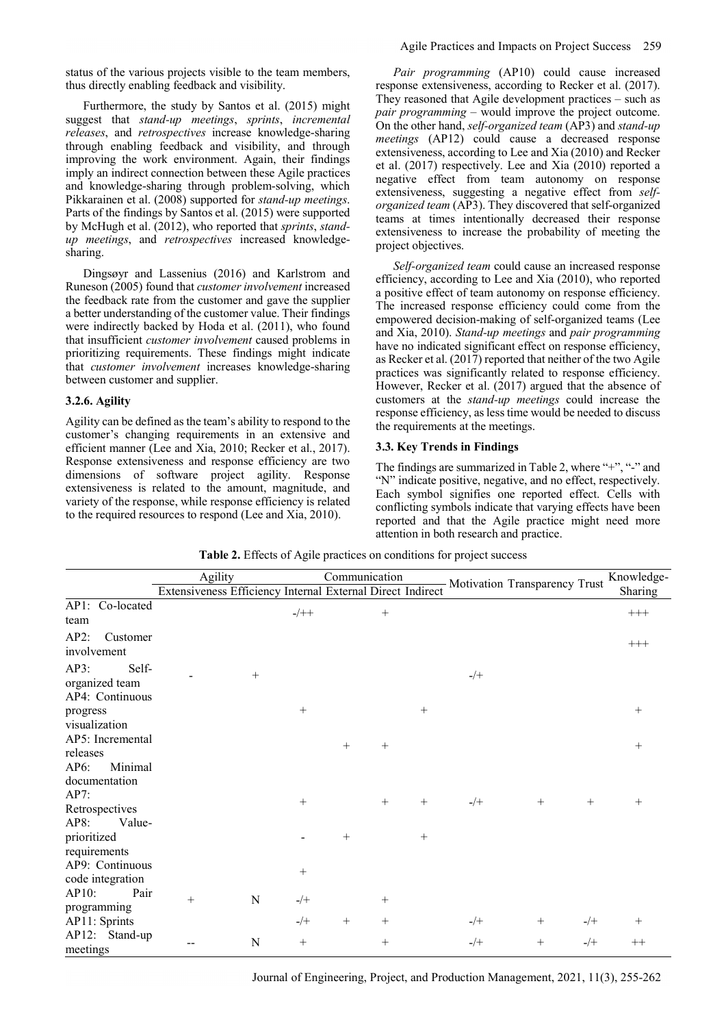status of the various projects visible to the team members, thus directly enabling feedback and visibility.

Furthermore, the study by Santos et al. (2015) might suggest that stand-up meetings, sprints, incremental releases, and retrospectives increase knowledge-sharing through enabling feedback and visibility, and through improving the work environment. Again, their findings imply an indirect connection between these Agile practices and knowledge-sharing through problem-solving, which Pikkarainen et al. (2008) supported for stand-up meetings. Parts of the findings by Santos et al. (2015) were supported by McHugh et al. (2012), who reported that sprints, standup meetings, and retrospectives increased knowledgesharing.

Dingsøyr and Lassenius (2016) and Karlstrom and Runeson (2005) found that customer involvement increased the feedback rate from the customer and gave the supplier a better understanding of the customer value. Their findings were indirectly backed by Hoda et al. (2011), who found that insufficient customer involvement caused problems in prioritizing requirements. These findings might indicate that customer involvement increases knowledge-sharing between customer and supplier.

## 3.2.6. Agility

Agility can be defined as the team's ability to respond to the customer's changing requirements in an extensive and efficient manner (Lee and Xia, 2010; Recker et al., 2017). Response extensiveness and response efficiency are two dimensions of software project agility. Response extensiveness is related to the amount, magnitude, and variety of the response, while response efficiency is related to the required resources to respond (Lee and Xia, 2010).

Pair programming (AP10) could cause increased response extensiveness, according to Recker et al. (2017). They reasoned that Agile development practices – such as pair programming – would improve the project outcome. On the other hand, self-organized team (AP3) and stand-up meetings (AP12) could cause a decreased response extensiveness, according to Lee and Xia (2010) and Recker et al. (2017) respectively. Lee and Xia (2010) reported a negative effect from team autonomy on response extensiveness, suggesting a negative effect from selforganized team (AP3). They discovered that self-organized teams at times intentionally decreased their response extensiveness to increase the probability of meeting the project objectives.

Self-organized team could cause an increased response efficiency, according to Lee and Xia (2010), who reported a positive effect of team autonomy on response efficiency. The increased response efficiency could come from the empowered decision-making of self-organized teams (Lee and Xia, 2010). Stand-up meetings and pair programming have no indicated significant effect on response efficiency, as Recker et al. (2017) reported that neither of the two Agile practices was significantly related to response efficiency. However, Recker et al. (2017) argued that the absence of customers at the stand-up meetings could increase the response efficiency, as less time would be needed to discuss the requirements at the meetings.

## 3.3. Key Trends in Findings

The findings are summarized in Table 2, where "+", "-" and "N" indicate positive, negative, and no effect, respectively. Each symbol signifies one reported effect. Cells with conflicting symbols indicate that varying effects have been reported and that the Agile practice might need more attention in both research and practice.

Table 2. Effects of Agile practices on conditions for project success

|                               | Agility<br>Extensiveness Efficiency Internal External Direct Indirect Motivation Transparency Trust |             |         | Communication |        |        |       |     | Knowledge- |          |
|-------------------------------|-----------------------------------------------------------------------------------------------------|-------------|---------|---------------|--------|--------|-------|-----|------------|----------|
|                               |                                                                                                     |             |         |               |        |        |       |     |            | Sharing  |
| AP1: Co-located               |                                                                                                     |             | $-/+ +$ |               | $+$    |        |       |     |            | $^{+++}$ |
| team                          |                                                                                                     |             |         |               |        |        |       |     |            |          |
| AP2:<br>Customer              |                                                                                                     |             |         |               |        |        |       |     |            | $+++$    |
| involvement                   |                                                                                                     |             |         |               |        |        |       |     |            |          |
| AP3:<br>Self-                 |                                                                                                     | $+$         |         |               |        |        | $-/+$ |     |            |          |
| organized team                |                                                                                                     |             |         |               |        |        |       |     |            |          |
| AP4: Continuous               |                                                                                                     |             |         |               |        |        |       |     |            |          |
| progress                      |                                                                                                     |             | $+$     |               |        | $+$    |       |     |            | $+$      |
| visualization                 |                                                                                                     |             |         |               |        |        |       |     |            |          |
| AP5: Incremental              |                                                                                                     |             |         | $+$           | $+$    |        |       |     |            | $+$      |
| releases                      |                                                                                                     |             |         |               |        |        |       |     |            |          |
| Minimal<br>AP6:               |                                                                                                     |             |         |               |        |        |       |     |            |          |
| documentation                 |                                                                                                     |             |         |               |        |        |       |     |            |          |
| AP7:                          |                                                                                                     |             | $+$     |               | $^{+}$ | $+$    | $-/+$ | $+$ | $+$        | $^{+}$   |
| Retrospectives                |                                                                                                     |             |         |               |        |        |       |     |            |          |
| AP8:<br>Value-<br>prioritized |                                                                                                     |             |         | $+$           |        | $^{+}$ |       |     |            |          |
| requirements                  |                                                                                                     |             |         |               |        |        |       |     |            |          |
| AP9: Continuous               |                                                                                                     |             |         |               |        |        |       |     |            |          |
| code integration              |                                                                                                     |             | $+$     |               |        |        |       |     |            |          |
| AP10:<br>Pair                 |                                                                                                     |             |         |               |        |        |       |     |            |          |
| programming                   | $^{+}$                                                                                              | $\mathbf N$ | $-$ /+  |               | $^{+}$ |        |       |     |            |          |
| AP11: Sprints                 |                                                                                                     |             | $-/+$   | $^{+}$        | $^{+}$ |        | $-/+$ | $+$ | $-/+$      | $^{+}$   |
| AP12: Stand-up                |                                                                                                     |             |         |               |        |        |       |     |            |          |
| meetings                      |                                                                                                     | N           | $+$     |               | $^{+}$ |        | $-/+$ | $+$ | $-/+$      | $++$     |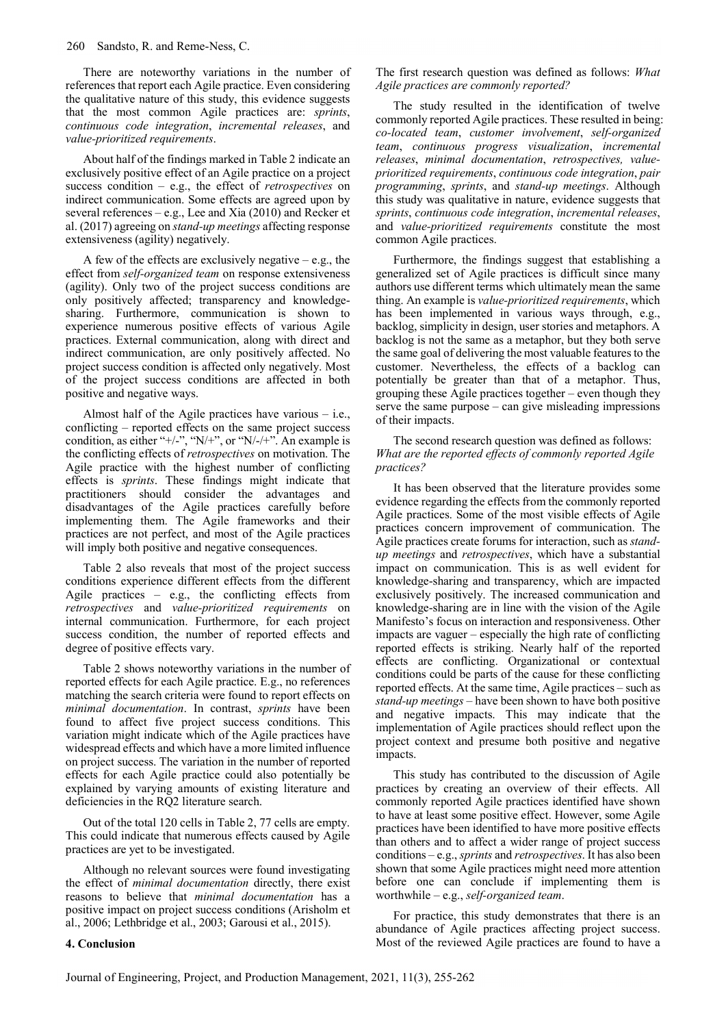There are noteworthy variations in the number of references that report each Agile practice. Even considering the qualitative nature of this study, this evidence suggests that the most common Agile practices are: sprints, continuous code integration, incremental releases, and value-prioritized requirements.

About half of the findings marked in Table 2 indicate an exclusively positive effect of an Agile practice on a project success condition  $-$  e.g., the effect of *retrospectives* on indirect communication. Some effects are agreed upon by several references – e.g., Lee and Xia (2010) and Recker et al. (2017) agreeing on stand-up meetings affecting response extensiveness (agility) negatively.

A few of the effects are exclusively negative – e.g., the effect from self-organized team on response extensiveness (agility). Only two of the project success conditions are only positively affected; transparency and knowledgesharing. Furthermore, communication is shown to experience numerous positive effects of various Agile practices. External communication, along with direct and indirect communication, are only positively affected. No project success condition is affected only negatively. Most of the project success conditions are affected in both positive and negative ways.

Almost half of the Agile practices have various – i.e., conflicting – reported effects on the same project success condition, as either "+/-", "N/+", or "N/-/+". An example is the conflicting effects of retrospectives on motivation. The Agile practice with the highest number of conflicting effects is sprints. These findings might indicate that practitioners should consider the advantages and disadvantages of the Agile practices carefully before implementing them. The Agile frameworks and their practices are not perfect, and most of the Agile practices will imply both positive and negative consequences.

Table 2 also reveals that most of the project success conditions experience different effects from the different Agile practices – e.g., the conflicting effects from retrospectives and value-prioritized requirements on internal communication. Furthermore, for each project success condition, the number of reported effects and degree of positive effects vary.

Table 2 shows noteworthy variations in the number of reported effects for each Agile practice. E.g., no references matching the search criteria were found to report effects on minimal documentation. In contrast, sprints have been found to affect five project success conditions. This variation might indicate which of the Agile practices have widespread effects and which have a more limited influence on project success. The variation in the number of reported effects for each Agile practice could also potentially be explained by varying amounts of existing literature and deficiencies in the RQ2 literature search.

Out of the total 120 cells in Table 2, 77 cells are empty. This could indicate that numerous effects caused by Agile practices are yet to be investigated.

Although no relevant sources were found investigating the effect of minimal documentation directly, there exist reasons to believe that minimal documentation has a positive impact on project success conditions (Arisholm et al., 2006; Lethbridge et al., 2003; Garousi et al., 2015).

The first research question was defined as follows: What Agile practices are commonly reported?

The study resulted in the identification of twelve commonly reported Agile practices. These resulted in being: co-located team, customer involvement, self-organized team, continuous progress visualization, incremental releases, minimal documentation, retrospectives, valueprioritized requirements, continuous code integration, pair programming, sprints, and stand-up meetings. Although this study was qualitative in nature, evidence suggests that sprints, continuous code integration, incremental releases, and value-prioritized requirements constitute the most common Agile practices.

Furthermore, the findings suggest that establishing a generalized set of Agile practices is difficult since many authors use different terms which ultimately mean the same thing. An example is value-prioritized requirements, which has been implemented in various ways through, e.g., backlog, simplicity in design, user stories and metaphors. A backlog is not the same as a metaphor, but they both serve the same goal of delivering the most valuable features to the customer. Nevertheless, the effects of a backlog can potentially be greater than that of a metaphor. Thus, grouping these Agile practices together – even though they serve the same purpose – can give misleading impressions of their impacts.

The second research question was defined as follows: What are the reported effects of commonly reported Agile practices?

It has been observed that the literature provides some evidence regarding the effects from the commonly reported Agile practices. Some of the most visible effects of Agile practices concern improvement of communication. The Agile practices create forums for interaction, such as standup meetings and retrospectives, which have a substantial impact on communication. This is as well evident for knowledge-sharing and transparency, which are impacted exclusively positively. The increased communication and knowledge-sharing are in line with the vision of the Agile Manifesto's focus on interaction and responsiveness. Other impacts are vaguer – especially the high rate of conflicting reported effects is striking. Nearly half of the reported effects are conflicting. Organizational or contextual conditions could be parts of the cause for these conflicting reported effects. At the same time, Agile practices – such as stand-up meetings – have been shown to have both positive and negative impacts. This may indicate that the implementation of Agile practices should reflect upon the project context and presume both positive and negative impacts.

This study has contributed to the discussion of Agile practices by creating an overview of their effects. All commonly reported Agile practices identified have shown to have at least some positive effect. However, some Agile practices have been identified to have more positive effects than others and to affect a wider range of project success conditions – e.g., sprints and retrospectives. It has also been shown that some Agile practices might need more attention before one can conclude if implementing them is worthwhile – e.g., self-organized team.

For practice, this study demonstrates that there is an abundance of Agile practices affecting project success. Most of the reviewed Agile practices are found to have a

### 4. Conclusion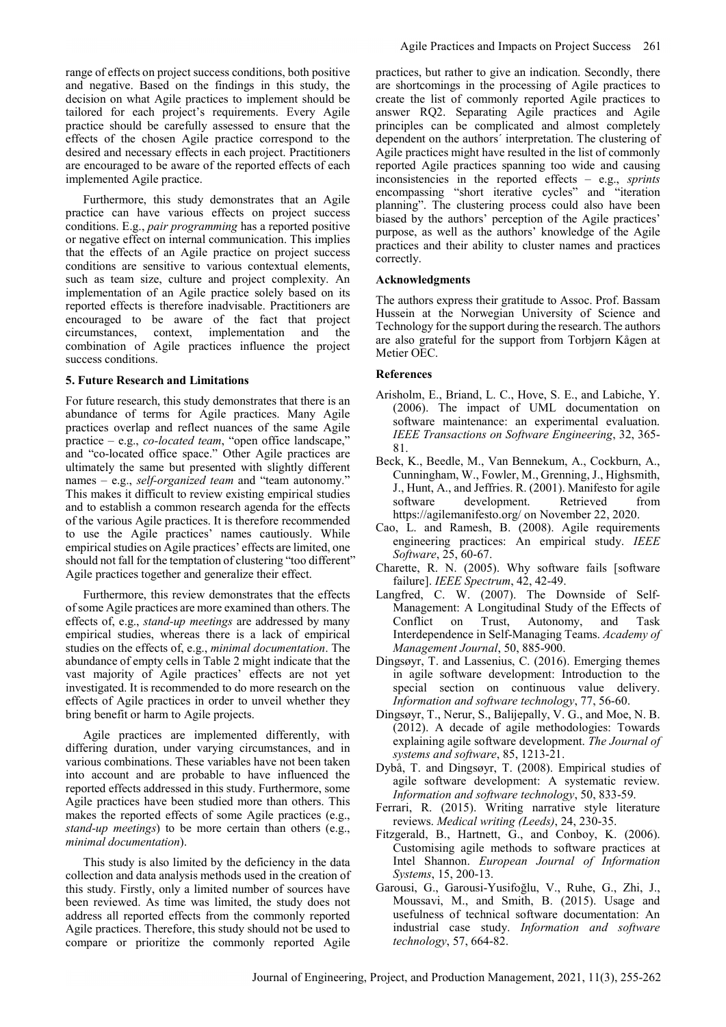range of effects on project success conditions, both positive and negative. Based on the findings in this study, the decision on what Agile practices to implement should be tailored for each project's requirements. Every Agile practice should be carefully assessed to ensure that the effects of the chosen Agile practice correspond to the desired and necessary effects in each project. Practitioners are encouraged to be aware of the reported effects of each implemented Agile practice.

Furthermore, this study demonstrates that an Agile practice can have various effects on project success conditions. E.g., pair programming has a reported positive or negative effect on internal communication. This implies that the effects of an Agile practice on project success conditions are sensitive to various contextual elements, such as team size, culture and project complexity. An implementation of an Agile practice solely based on its reported effects is therefore inadvisable. Practitioners are encouraged to be aware of the fact that project circumstances, context, implementation and the combination of Agile practices influence the project success conditions.

### 5. Future Research and Limitations

For future research, this study demonstrates that there is an abundance of terms for Agile practices. Many Agile practices overlap and reflect nuances of the same Agile practice – e.g., co-located team, "open office landscape," and "co-located office space." Other Agile practices are ultimately the same but presented with slightly different names – e.g., *self-organized team* and "team autonomy." This makes it difficult to review existing empirical studies and to establish a common research agenda for the effects of the various Agile practices. It is therefore recommended to use the Agile practices' names cautiously. While empirical studies on Agile practices' effects are limited, one should not fall for the temptation of clustering "too different" Agile practices together and generalize their effect.

Furthermore, this review demonstrates that the effects of some Agile practices are more examined than others. The effects of, e.g., stand-up meetings are addressed by many empirical studies, whereas there is a lack of empirical studies on the effects of, e.g., minimal documentation. The abundance of empty cells in Table 2 might indicate that the vast majority of Agile practices' effects are not yet investigated. It is recommended to do more research on the effects of Agile practices in order to unveil whether they bring benefit or harm to Agile projects.

Agile practices are implemented differently, with differing duration, under varying circumstances, and in various combinations. These variables have not been taken into account and are probable to have influenced the reported effects addressed in this study. Furthermore, some Agile practices have been studied more than others. This makes the reported effects of some Agile practices (e.g., stand-up meetings) to be more certain than others (e.g., minimal documentation).

This study is also limited by the deficiency in the data collection and data analysis methods used in the creation of this study. Firstly, only a limited number of sources have been reviewed. As time was limited, the study does not address all reported effects from the commonly reported Agile practices. Therefore, this study should not be used to compare or prioritize the commonly reported Agile

practices, but rather to give an indication. Secondly, there are shortcomings in the processing of Agile practices to create the list of commonly reported Agile practices to answer RQ2. Separating Agile practices and Agile principles can be complicated and almost completely dependent on the authors´ interpretation. The clustering of Agile practices might have resulted in the list of commonly reported Agile practices spanning too wide and causing inconsistencies in the reported effects – e.g., sprints encompassing "short iterative cycles" and "iteration planning". The clustering process could also have been biased by the authors' perception of the Agile practices' purpose, as well as the authors' knowledge of the Agile practices and their ability to cluster names and practices correctly.

## Acknowledgments

The authors express their gratitude to Assoc. Prof. Bassam Hussein at the Norwegian University of Science and Technology for the support during the research. The authors are also grateful for the support from Torbjørn Kågen at Metier OEC.

#### References

- Arisholm, E., Briand, L. C., Hove, S. E., and Labiche, Y. (2006). The impact of UML documentation on software maintenance: an experimental evaluation. IEEE Transactions on Software Engineering, 32, 365- 81.
- Beck, K., Beedle, M., Van Bennekum, A., Cockburn, A., Cunningham, W., Fowler, M., Grenning, J., Highsmith, J., Hunt, A., and Jeffries. R. (2001). Manifesto for agile software development. Retrieved from https://agilemanifesto.org/ on November 22, 2020.
- Cao, L. and Ramesh, B. (2008). Agile requirements engineering practices: An empirical study. IEEE Software, 25, 60-67.
- Charette, R. N. (2005). Why software fails [software failure]. IEEE Spectrum, 42, 42-49.
- Langfred, C. W. (2007). The Downside of Self-Management: A Longitudinal Study of the Effects of Conflict on Trust, Autonomy, and Task Interdependence in Self-Managing Teams. Academy of Management Journal, 50, 885-900.
- Dingsøyr, T. and Lassenius, C. (2016). Emerging themes in agile software development: Introduction to the special section on continuous value delivery. Information and software technology, 77, 56-60.
- Dingsøyr, T., Nerur, S., Balijepally, V. G., and Moe, N. B. (2012). A decade of agile methodologies: Towards explaining agile software development. The Journal of systems and software, 85, 1213-21.
- Dybå, T. and Dingsøyr, T. (2008). Empirical studies of agile software development: A systematic review. Information and software technology, 50, 833-59.
- Ferrari, R. (2015). Writing narrative style literature reviews. Medical writing (Leeds), 24, 230-35.
- Fitzgerald, B., Hartnett, G., and Conboy, K. (2006). Customising agile methods to software practices at Intel Shannon. European Journal of Information Systems, 15, 200-13.
- Garousi, G., Garousi-Yusifoğlu, V., Ruhe, G., Zhi, J., Moussavi, M., and Smith, B. (2015). Usage and usefulness of technical software documentation: An industrial case study. Information and software technology, 57, 664-82.